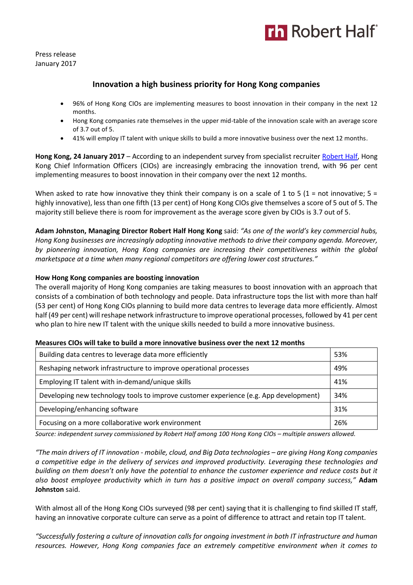

Press release January 2017

# **Innovation a high business priority for Hong Kong companies**

- 96% of Hong Kong CIOs are implementing measures to boost innovation in their company in the next 12 months.
- Hong Kong companies rate themselves in the upper mid-table of the innovation scale with an average score of 3.7 out of 5.
- 41% will employ IT talent with unique skills to build a more innovative business over the next 12 months.

**Hong Kong, 24 January 2017** – According to an independent survey from specialist recruiter [Robert Half,](https://www.roberthalf.com.hk/?utm_source=roberthalf&utm_medium=pressrelease&utm_campaign=rh-all-nonspecific-ongoing) Hong Kong Chief Information Officers (CIOs) are increasingly embracing the innovation trend, with 96 per cent implementing measures to boost innovation in their company over the next 12 months.

When asked to rate how innovative they think their company is on a scale of 1 to 5 (1 = not innovative; 5 = highly innovative), less than one fifth (13 per cent) of Hong Kong CIOs give themselves a score of 5 out of 5. The majority still believe there is room for improvement as the average score given by CIOs is 3.7 out of 5.

**Adam Johnston, Managing Director Robert Half Hong Kong** said: *"As one of the world's key commercial hubs, Hong Kong businesses are increasingly adopting innovative methods to drive their company agenda. Moreover, by pioneering innovation, Hong Kong companies are increasing their competitiveness within the global marketspace at a time when many regional competitors are offering lower cost structures."*

# **How Hong Kong companies are boosting innovation**

The overall majority of Hong Kong companies are taking measures to boost innovation with an approach that consists of a combination of both technology and people. Data infrastructure tops the list with more than half (53 per cent) of Hong Kong CIOs planning to build more data centres to leverage data more efficiently. Almost half (49 per cent) will reshape network infrastructure to improve operational processes, followed by 41 per cent who plan to hire new IT talent with the unique skills needed to build a more innovative business.

| Building data centres to leverage data more efficiently                               | 53% |
|---------------------------------------------------------------------------------------|-----|
| Reshaping network infrastructure to improve operational processes                     | 49% |
| Employing IT talent with in-demand/unique skills                                      | 41% |
| Developing new technology tools to improve customer experience (e.g. App development) | 34% |
| Developing/enhancing software                                                         | 31% |
| Focusing on a more collaborative work environment                                     | 26% |

#### **Measures CIOs will take to build a more innovative business over the next 12 months**

*Source: independent survey commissioned by Robert Half among 100 Hong Kong CIOs – multiple answers allowed.*

*"The main drivers of IT innovation - mobile, cloud, and Big Data technologies – are giving Hong Kong companies a competitive edge in the delivery of services and improved productivity. Leveraging these technologies and building on them doesn't only have the potential to enhance the customer experience and reduce costs but it also boost employee productivity which in turn has a positive impact on overall company success,"* **Adam Johnston** said.

With almost all of the Hong Kong CIOs surveyed (98 per cent) saying that it is challenging to find skilled IT staff, having an innovative corporate culture can serve as a point of difference to attract and retain top IT talent.

*"Successfully fostering a culture of innovation calls for ongoing investment in both IT infrastructure and human resources. However, Hong Kong companies face an extremely competitive environment when it comes to*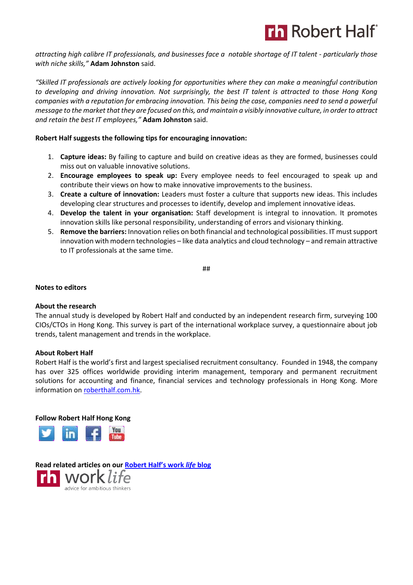

*attracting high calibre IT professionals, and businesses face a notable shortage of IT talent - particularly those with niche skills,"* **Adam Johnston** said.

*"Skilled IT professionals are actively looking for opportunities where they can make a meaningful contribution to developing and driving innovation. Not surprisingly, the best IT talent is attracted to those Hong Kong companies with a reputation for embracing innovation. This being the case, companies need to send a powerful message to the market that they are focused on this, and maintain a visibly innovative culture, in order to attract and retain the best IT employees,"* **Adam Johnston** said.

# **Robert Half suggests the following tips for encouraging innovation:**

- 1. **Capture ideas:** By failing to capture and build on creative ideas as they are formed, businesses could miss out on valuable innovative solutions.
- 2. **Encourage employees to speak up:** Every employee needs to feel encouraged to speak up and contribute their views on how to make innovative improvements to the business.
- 3. **Create a culture of innovation:** Leaders must foster a culture that supports new ideas. This includes developing clear structures and processes to identify, develop and implement innovative ideas.
- 4. **Develop the talent in your organisation:** Staff development is integral to innovation. It promotes innovation skills like personal responsibility, understanding of errors and visionary thinking.
- 5. **Remove the barriers:** Innovation relies on both financial and technological possibilities. IT must support innovation with modern technologies – like data analytics and cloud technology – and remain attractive to IT professionals at the same time.

##

#### **Notes to editors**

#### **About the research**

The annual study is developed by Robert Half and conducted by an independent research firm, surveying 100 CIOs/CTOs in Hong Kong. This survey is part of the international workplace survey, a questionnaire about job trends, talent management and trends in the workplace.

#### **About Robert Half**

Robert Half is the world's first and largest specialised recruitment consultancy. Founded in 1948, the company has over 325 offices worldwide providing interim management, temporary and permanent recruitment solutions for accounting and finance, financial services and technology professionals in Hong Kong. More information o[n roberthalf.com.hk.](https://www.roberthalf.com.hk/?utm_source=roberthalf&utm_medium=pressrelease&utm_campaign=rh-all-nonspecific-ongoing)

**Follow Robert Half Hong Kong**



**Read related articles on our [Robert Half's work](https://www.roberthalf.com.hk/blog?utm_source=roberthalf&utm_medium=pressrelease&utm_campaign=rh-all-nonspecific-ongoing)** *life* **blog**work life advice for ambitious thinkers